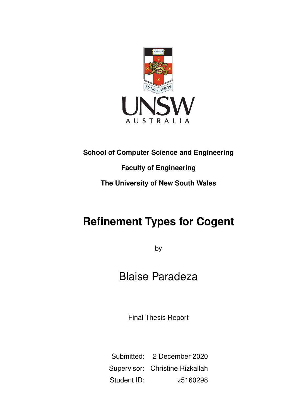

### **School of Computer Science and Engineering**

### **Faculty of Engineering**

**The University of New South Wales**

# **Refinement Types for Cogent**

by

# Blaise Paradeza

Final Thesis Report

Submitted: 2 December 2020 Supervisor: Christine Rizkallah Student ID: z5160298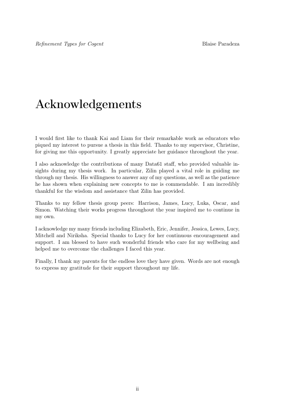# Acknowledgements

I would first like to thank Kai and Liam for their remarkable work as educators who piqued my interest to pursue a thesis in this field. Thanks to my supervisor, Christine, for giving me this opportunity. I greatly appreciate her guidance throughout the year.

I also acknowledge the contributions of many Data61 staff, who provided valuable insights during my thesis work. In particular, Zilin played a vital role in guiding me through my thesis. His willingness to answer any of my questions, as well as the patience he has shown when explaining new concepts to me is commendable. I am incredibly thankful for the wisdom and assistance that Zilin has provided.

Thanks to my fellow thesis group peers: Harrison, James, Lucy, Luka, Oscar, and Simon. Watching their works progress throughout the year inspired me to continue in my own.

I acknowledge my many friends including Elizabeth, Eric, Jennifer, Jessica, Lewes, Lucy, Mitchell and Niriksha. Special thanks to Lucy for her continuous encouragement and support. I am blessed to have such wonderful friends who care for my wellbeing and helped me to overcome the challenges I faced this year.

Finally, I thank my parents for the endless love they have given. Words are not enough to express my gratitude for their support throughout my life.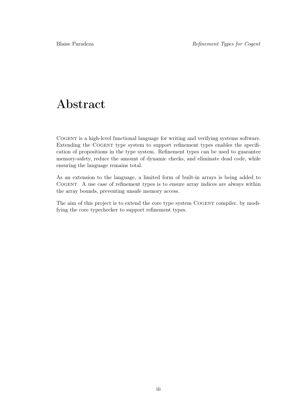# Abstract

Cogent is a high-level functional language for writing and verifying systems software. Extending the COGENT type system to support refinement types enables the specification of propositions in the type system. Refinement types can be used to guarantee memory-safety, reduce the amount of dynamic checks, and eliminate dead code, while ensuring the language remains total.

As an extension to the language, a limited form of built-in arrays is being added to Cogent. A use case of refinement types is to ensure array indices are always within the array bounds, preventing unsafe memory access.

The aim of this project is to extend the core type system COGENT compiler, by modifying the core typechecker to support refinement types.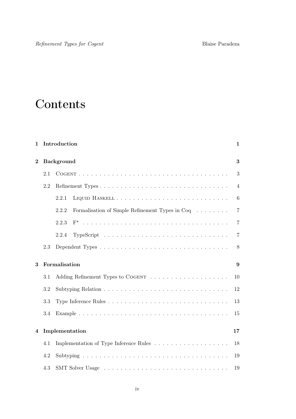# **Contents**

| $\mathbf{1}$            |         | Introduction                                             | $\mathbf 1$    |  |  |  |  |  |  |  |  |  |
|-------------------------|---------|----------------------------------------------------------|----------------|--|--|--|--|--|--|--|--|--|
| $\bf{2}$                |         | <b>Background</b><br>3                                   |                |  |  |  |  |  |  |  |  |  |
|                         | 2.1     |                                                          | 3              |  |  |  |  |  |  |  |  |  |
|                         | $2.2\,$ |                                                          | $\overline{4}$ |  |  |  |  |  |  |  |  |  |
|                         |         | 2.2.1                                                    | 6              |  |  |  |  |  |  |  |  |  |
|                         |         | Formalisation of Simple Refinement Types in Coq<br>2.2.2 | $\overline{7}$ |  |  |  |  |  |  |  |  |  |
|                         |         | 2.2.3                                                    | $\overline{7}$ |  |  |  |  |  |  |  |  |  |
|                         |         | 2.2.4                                                    | $\overline{7}$ |  |  |  |  |  |  |  |  |  |
|                         | 2.3     |                                                          | 8              |  |  |  |  |  |  |  |  |  |
| 3                       |         | Formalisation                                            | 9              |  |  |  |  |  |  |  |  |  |
|                         | 3.1     |                                                          | 10             |  |  |  |  |  |  |  |  |  |
|                         | 3.2     |                                                          | 12             |  |  |  |  |  |  |  |  |  |
|                         | 3.3     |                                                          | 13             |  |  |  |  |  |  |  |  |  |
|                         | 3.4     |                                                          | 15             |  |  |  |  |  |  |  |  |  |
| $\overline{\mathbf{4}}$ |         | Implementation                                           | 17             |  |  |  |  |  |  |  |  |  |
|                         | 4.1     |                                                          | 18             |  |  |  |  |  |  |  |  |  |
|                         | 4.2     |                                                          | 19             |  |  |  |  |  |  |  |  |  |
|                         | 4.3     |                                                          | 19             |  |  |  |  |  |  |  |  |  |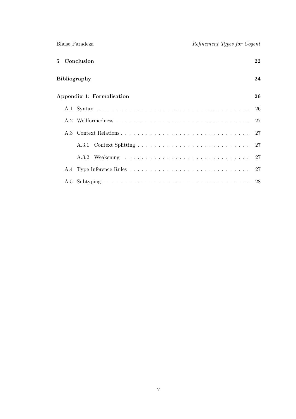|                     | Blaise Paradeza<br>Refinement Types for Cogent |     |
|---------------------|------------------------------------------------|-----|
| 5                   | Conclusion                                     | 22  |
| <b>Bibliography</b> |                                                | 24  |
|                     | Appendix 1: Formalisation                      | 26  |
|                     |                                                | -26 |
|                     |                                                | 27  |
|                     |                                                | 27  |
|                     | A.3.1                                          | 27  |
|                     |                                                | -27 |
|                     |                                                | 27  |
| A.5                 |                                                | 28  |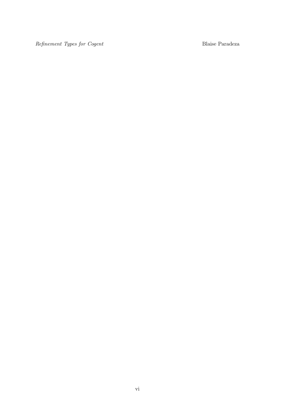Refinement Types for Cogent Blaise Paradeza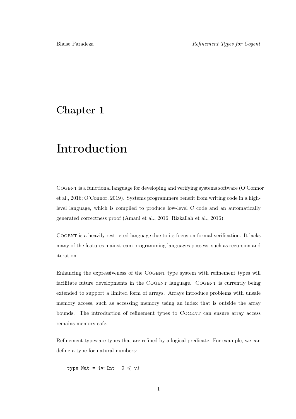### Chapter 1

# Introduction

Cogent is a functional language for developing and verifying systems software (O'Connor et al., 2016; O'Connor, 2019). Systems programmers benefit from writing code in a highlevel language, which is compiled to produce low-level C code and an automatically generated correctness proof (Amani et al., 2016; Rizkallah et al., 2016).

Cogent is a heavily restricted language due to its focus on formal verification. It lacks many of the features mainstream programming languages possess, such as recursion and iteration.

Enhancing the expressiveness of the COGENT type system with refinement types will facilitate future developments in the COGENT language. COGENT is currently being extended to support a limited form of arrays. Arrays introduce problems with unsafe memory access, such as accessing memory using an index that is outside the array bounds. The introduction of refinement types to COGENT can ensure array access remains memory-safe.

Refinement types are types that are refined by a logical predicate. For example, we can define a type for natural numbers:

type Nat =  $\{v: Int \mid 0 \leq v\}$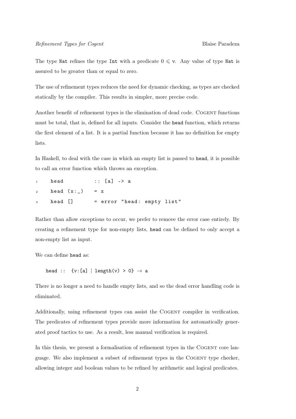The type Nat refines the type Int with a predicate  $0 \leq v$ . Any value of type Nat is assured to be greater than or equal to zero.

The use of refinement types reduces the need for dynamic checking, as types are checked statically by the compiler. This results in simpler, more precise code.

Another benefit of refinement types is the elimination of dead code. COGENT functions must be total, that is, defined for all inputs. Consider the head function, which returns the first element of a list. It is a partial function because it has no definition for empty lists.

In Haskell, to deal with the case in which an empty list is passed to head, it is possible to call an error function which throws an exception.

| 1 head    |                    | :: [a] -> a |                            |  |
|-----------|--------------------|-------------|----------------------------|--|
|           | 2 head $(x:-)$ = x |             |                            |  |
| 3 head [] |                    |             | = error "head: empty list" |  |

Rather than allow exceptions to occur, we prefer to remove the error case entirely. By creating a refinement type for non-empty lists, head can be defined to only accept a non-empty list as input.

We can define head as:

head ::  $\{v: [a] \mid length(v) > 0\} \rightarrow a$ 

There is no longer a need to handle empty lists, and so the dead error handling code is eliminated.

Additionally, using refinement types can assist the COGENT compiler in verification. The predicates of refinement types provide more information for automatically generated proof tactics to use. As a result, less manual verification is required.

In this thesis, we present a formalisation of refinement types in the COGENT core language. We also implement a subset of refinement types in the COGENT type checker, allowing integer and boolean values to be refined by arithmetic and logical predicates.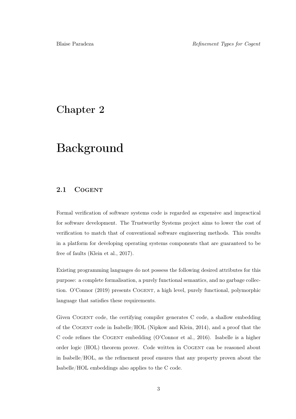### Chapter 2

## Background

#### 2.1 COGENT

Formal verification of software systems code is regarded as expensive and impractical for software development. The Trustworthy Systems project aims to lower the cost of verification to match that of conventional software engineering methods. This results in a platform for developing operating systems components that are guaranteed to be free of faults (Klein et al., 2017).

Existing programming languages do not possess the following desired attributes for this purpose: a complete formalisation, a purely functional semantics, and no garbage collection. O'Connor (2019) presents Cogent, a high level, purely functional, polymorphic language that satisfies these requirements.

Given COGENT code, the certifying compiler generates C code, a shallow embedding of the Cogent code in Isabelle/HOL (Nipkow and Klein, 2014), and a proof that the C code refines the Cogent embedding (O'Connor et al., 2016). Isabelle is a higher order logic (HOL) theorem prover. Code written in Cogent can be reasoned about in Isabelle/HOL, as the refinement proof ensures that any property proven about the Isabelle/HOL embeddings also applies to the C code.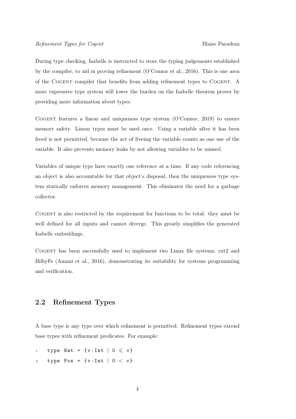During type checking, Isabelle is instructed to store the typing judgements established by the compiler, to aid in proving refinement (O'Connor et al., 2016). This is one area of the Cogent compiler that benefits from adding refinement types to Cogent. A more expressive type system will lower the burden on the Isabelle theorem prover by providing more information about types.

Cogent features a linear and uniqueness type system (O'Connor, 2019) to ensure memory safety. Linear types must be used once. Using a variable after it has been freed is not permitted, because the act of freeing the variable counts as one use of the variable. It also prevents memory leaks by not allowing variables to be unused.

Variables of unique type have exactly one reference at a time. If any code referencing an object is also accountable for that object's disposal, then the uniqueness type system statically enforces memory management. This eliminates the need for a garbage collector.

Cogent is also restricted by the requirement for functions to be total: they must be well defined for all inputs and cannot diverge. This greatly simplifies the generated Isabelle embeddings.

Cogent has been successfully used to implement two Linux file systems, ext2 and BilbyFs (Amani et al., 2016), demonstrating its suitability for systems programming and verification.

#### 2.2 Refinement Types

A base type is any type over which refinement is permitted. Refinement types extend base types with refinement predicates. For example:

- 1 type Nat =  $\{v: Int \mid 0 \leq v\}$
- 2 type Pos =  $\{v: Int \mid 0 \lt v\}$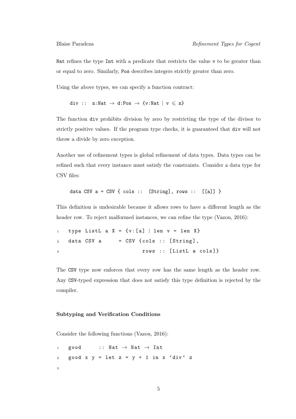Nat refines the type Int with a predicate that restricts the value v to be greater than or equal to zero. Similarly, Pos describes integers strictly greater than zero.

Using the above types, we can specify a function contract:

div :: n:Nat  $\rightarrow$  d:Pos  $\rightarrow$  {v:Nat | v  $\leq$  n}

The function div prohibits division by zero by restricting the type of the divisor to strictly positive values. If the program type checks, it is guaranteed that div will not throw a divide by zero exception.

Another use of refinement types is global refinement of data types. Data types can be refined such that every instance must satisfy the constraints. Consider a data type for CSV files:

```
data CSV a = \text{CSV } \{ \text{cols } : : \text{ [String]}, \text{rows } : : \text{ [[a]] } \}
```
This definition is undesirable because it allows rows to have a different length as the header row. To reject malformed instances, we can refine the type (Vazou, 2016):

```
1 type ListL a X = \{v : [a] \mid len \ v = len \ X\}_2 data CSV a = CSV {cols :: [String],
3 rows :: [ ListL a cols ]}
```
The CSV type now enforces that every row has the same length as the header row. Any CSV-typed expression that does not satisfy this type definition is rejected by the compiler.

#### Subtyping and Verification Conditions

Consider the following functions (Vazou, 2016):

1 good :: Nat  $\rightarrow$  Nat  $\rightarrow$  Int 2 good x  $y =$  let  $z = y + 1$  in x 'div' z 3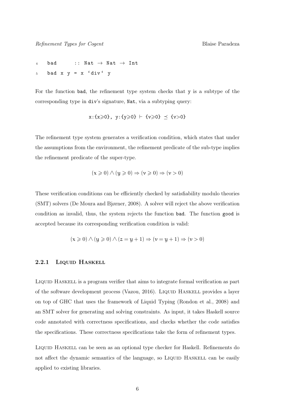```
4 bad :: Nat \rightarrow Nat \rightarrow Int
5 bad x y = x 'div' y
```
For the function bad, the refinement type system checks that y is a subtype of the corresponding type in div's signature, Nat, via a subtyping query:

$$
x: \{x \ge 0\}, \ y: \{y \ge 0\} \vdash \{v \ge 0\} \preceq \{v > 0\}
$$

The refinement type system generates a verification condition, which states that under the assumptions from the environment, the refinement predicate of the sub-type implies the refinement predicate of the super-type.

$$
(x \geqslant 0) \land (y \geqslant 0) \Rightarrow (v \geqslant 0) \Rightarrow (v > 0)
$$

These verification conditions can be efficiently checked by satisfiability modulo theories (SMT) solvers (De Moura and Bjørner, 2008). A solver will reject the above verification condition as invalid, thus, the system rejects the function bad. The function good is accepted because its corresponding verification condition is valid:

$$
(x \geqslant 0) \land (y \geqslant 0) \land (z = y + 1) \Rightarrow (v = y + 1) \Rightarrow (v > 0)
$$

#### 2.2.1 Liquid Haskell

Liquid Haskell is a program verifier that aims to integrate formal verification as part of the software development process (Vazou, 2016). Liquid Haskell provides a layer on top of GHC that uses the framework of Liquid Typing (Rondon et al., 2008) and an SMT solver for generating and solving constraints. As input, it takes Haskell source code annotated with correctness specifications, and checks whether the code satisfies the specifications. These correctness specifications take the form of refinement types.

Liquid Haskell can be seen as an optional type checker for Haskell. Refinements do not affect the dynamic semantics of the language, so Liquid HASKELL can be easily applied to existing libraries.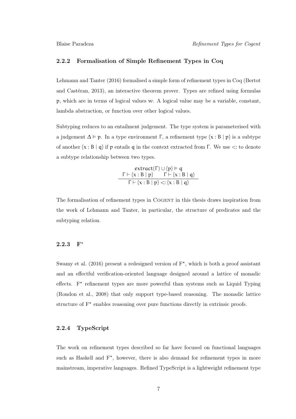#### 2.2.2 Formalisation of Simple Refinement Types in Coq

Lehmann and Tanter (2016) formalised a simple form of refinement types in Coq (Bertot and Castéran, 2013), an interactive theorem prover. Types are refined using formulas p, which are in terms of logical values w. A logical value may be a variable, constant, lambda abstraction, or function over other logical values.

Subtyping reduces to an entailment judgement. The type system is parameterised with a judgement  $\Delta \models p$ . In a type environment  $\Gamma$ , a refinement type  $\{x : B | p\}$  is a subtype of another  $\{x : B | q\}$  if p entails q in the context extracted from Γ. We use  $\lt:$  to denote a subtype relationship between two types.

$$
\frac{\text{extract}(\Gamma) \cup \{p\} \vDash q}{\Gamma \vdash \{x : B \mid p\} \qquad \Gamma \vdash \{x : B \mid q\}}\n\frac{\Gamma \vdash \{x : B \mid p\} <: \{x : B \mid q\}}{\Gamma \vdash \{x : B \mid p\} <: \{x : B \mid q\}}
$$

The formalisation of refinement types in COGENT in this thesis draws inspiration from the work of Lehmann and Tanter, in particular, the structure of predicates and the subtyping relation.

#### $2.2.3$   $F^*$

Swamy et al. (2016) present a redesigned version of  $F^*$ , which is both a proof assistant and an effectful verification-oriented language designed around a lattice of monadic effects.  $F^*$  refinement types are more powerful than systems such as Liquid Typing (Rondon et al., 2008) that only support type-based reasoning. The monadic lattice structure of  $F^*$  enables reasoning over pure functions directly in extrinsic proofs.

#### 2.2.4 TypeScript

The work on refinement types described so far have focused on functional languages such as Haskell and  $F^*$ , however, there is also demand for refinement types in more mainstream, imperative languages. Refined TypeScript is a lightweight refinement type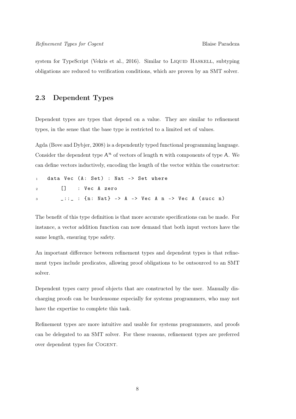system for TypeScript (Vekris et al., 2016). Similar to Liquid HASKELL, subtyping obligations are reduced to verification conditions, which are proven by an SMT solver.

#### 2.3 Dependent Types

Dependent types are types that depend on a value. They are similar to refinement types, in the sense that the base type is restricted to a limited set of values.

Agda (Bove and Dybjer, 2008) is a dependently typed functional programming language. Consider the dependent type  $A^n$  of vectors of length n with components of type A. We can define vectors inductively, encoding the length of the vector within the constructor:

```
1 data Vec (A: Set) : Nat -> Set where
2 [] : Vec A zero
3 \quad \text{or} \quad \text{or} \quad 3 :: \text{or} \quad \text{for} \quad \text{Nat} \} -> A -> Vec A n -> Vec A (succ n)
```
The benefit of this type definition is that more accurate specifications can be made. For instance, a vector addition function can now demand that both input vectors have the same length, ensuring type safety.

An important difference between refinement types and dependent types is that refinement types include predicates, allowing proof obligations to be outsourced to an SMT solver.

Dependent types carry proof objects that are constructed by the user. Manually discharging proofs can be burdensome especially for systems programmers, who may not have the expertise to complete this task.

Refinement types are more intuitive and usable for systems programmers, and proofs can be delegated to an SMT solver. For these reasons, refinement types are preferred over dependent types for COGENT.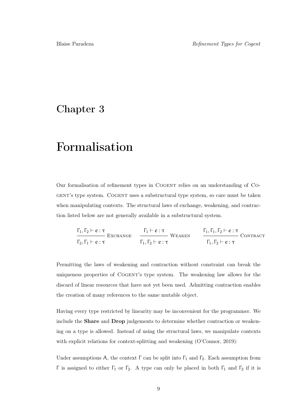### Chapter 3

# Formalisation

Our formalisation of refinement types in Cogent relies on an understanding of Cogent's type system. Cogent uses a substructural type system, so care must be taken when manipulating contexts. The structural laws of exchange, weakening, and contraction listed below are not generally available in a substructural system.

$$
\frac{\Gamma_1, \Gamma_2 \vdash e : \tau}{\Gamma_2, \Gamma_1 \vdash e : \tau}
$$
   
EXCHANGE 
$$
\frac{\Gamma_1 \vdash e : \tau}{\Gamma_1, \Gamma_2 \vdash e : \tau}
$$
   
WEAKEN 
$$
\frac{\Gamma_1, \Gamma_1, \Gamma_2 \vdash e : \tau}{\Gamma_1, \Gamma_2 \vdash e : \tau}
$$
   
Contract

Permitting the laws of weakening and contraction without constraint can break the uniqueness properties of Cogent's type system. The weakening law allows for the discard of linear resources that have not yet been used. Admitting contraction enables the creation of many references to the same mutable object.

Having every type restricted by linearity may be inconvenient for the programmer. We include the Share and Drop judgements to determine whether contraction or weakening on a type is allowed. Instead of using the structural laws, we manipulate contexts with explicit relations for context-splitting and weakening (O'Connor, 2019):

Under assumptions A, the context  $\Gamma$  can be split into  $\Gamma_1$  and  $\Gamma_2$ . Each assumption from Γ is assigned to either  $Γ_1$  or  $Γ_2$ . A type can only be placed in both  $Γ_1$  and  $Γ_2$  if it is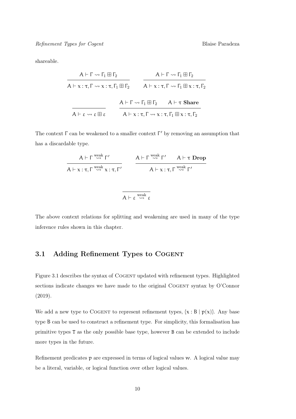shareable.

| \n $A \vdash \Gamma \leadsto \Gamma_1 \boxplus \Gamma_2$ \n                           | \n $A \vdash \Gamma \leadsto \Gamma_1 \boxplus \Gamma_2$ \n                                        |                                    |
|---------------------------------------------------------------------------------------|----------------------------------------------------------------------------------------------------|------------------------------------|
| \n $A \vdash \chi : \tau, \Gamma \leadsto \chi : \tau, \Gamma_1 \boxplus \Gamma_2$ \n | \n $A \vdash \chi : \tau, \Gamma \leadsto \Gamma_1 \boxplus \chi : \tau, \Gamma_2$ \n              |                                    |
| \n $A \vdash \epsilon \leadsto \epsilon \boxplus \epsilon$ \n                         | \n $A \vdash \Gamma \leadsto \Gamma_1 \boxplus \Gamma_2$ \n                                        | \n $A \vdash \tau$ <b>Share</b> \n |
| \n $A \vdash \epsilon \leadsto \epsilon \boxplus \epsilon$ \n                         | \n $A \vdash \chi : \tau, \Gamma \leadsto \chi : \tau, \Gamma_1 \boxplus \chi : \tau, \Gamma_2$ \n |                                    |

The context  $\Gamma$  can be weakened to a smaller context  $\Gamma'$  by removing an assumption that has a discardable type.

$$
\cfrac{A \vdash \Gamma \stackrel{\text{weak}}{\leadsto} \Gamma'}{A \vdash \chi : \tau, \Gamma \stackrel{\text{weak}}{\leadsto} \chi : \tau, \Gamma'} \qquad \cfrac{A \vdash \Gamma \stackrel{\text{weak}}{\leadsto} \Gamma' \qquad A \vdash \tau \text{ Drop}}{A \vdash \chi : \tau, \Gamma \stackrel{\text{weak}}{\leadsto} \Gamma'}
$$

The above context relations for splitting and weakening are used in many of the type inference rules shown in this chapter.

### 3.1 Adding Refinement Types to COGENT

Figure 3.1 describes the syntax of COGENT updated with refinement types. Highlighted sections indicate changes we have made to the original COGENT syntax by O'Connor (2019).

We add a new type to COGENT to represent refinement types,  $\{x : B | p(x)\}\$ . Any base type B can be used to construct a refinement type. For simplicity, this formalisation has primitive types T as the only possible base type, however B can be extended to include more types in the future.

Refinement predicates  $p$  are expressed in terms of logical values w. A logical value may be a literal, variable, or logical function over other logical values.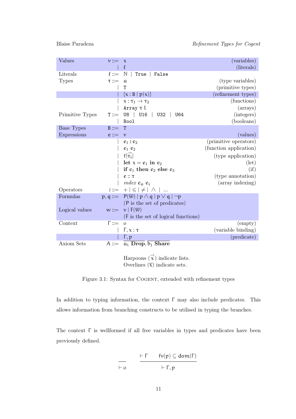Blaise Paradeza Refinement Types for Cogent

| Values            | $v ::=$      | $\chi$<br>$\ell$                                            | (variables)<br>(literals)      |
|-------------------|--------------|-------------------------------------------------------------|--------------------------------|
| Literals          | $\ell ::=$   | $\mathbb N$<br>True<br>False                                |                                |
| <b>Types</b>      | $\tau ::=$   | $\alpha$                                                    | (type variables)               |
|                   |              | T                                                           | (primitive types)              |
|                   |              | ${x : B   p(x)}$                                            | (refinement types)             |
|                   |              | $x:\tau_1\to\tau_2$                                         | (functions)                    |
|                   |              | Array $\tau$ l                                              | $\left( \text{arrays} \right)$ |
| Primitive Types   | $T ::=$      | U8   U16<br>$\vert$ U32<br>U64                              | (integers)                     |
|                   |              | <b>Bool</b>                                                 | (booleans)                     |
| Base Types        | $B ::=$      | T                                                           |                                |
| Expressions       | $e ::=$      | $\mathcal{V}$                                               | (values)                       |
|                   |              | $e_1 \wr e_2$                                               | (primitive operators)          |
|                   |              | $e_1$ $e_2$                                                 | (function application)         |
|                   |              | $f[\overrightarrow{\tau_i}]$                                | (type application)             |
|                   |              | let $x = e_1$ in $e_2$                                      | $(\text{let})$                 |
|                   |              | if $e_1$ then $e_2$ else $e_3$                              | (if)                           |
|                   |              | $e$ : $\tau$                                                | (type annotation)              |
|                   |              | index $e_a$ $e_i$                                           | (array indexing)               |
| Operators         |              | $\lambda ::= +  \leqslant   \neq   \wedge   $               |                                |
| Formulas          |              | $p, q ::= P(\overline{w})   p \wedge q   p \vee q   \neg p$ |                                |
|                   |              | (P is the set of predicates)                                |                                |
| Logical values    | $w ::=$      | $\nu \mid F(\overline{w})$                                  |                                |
|                   |              | (F is the set of logical functions)                         |                                |
| Context           | $\Gamma ::=$ | Ø                                                           | (empty)                        |
|                   |              | $\Gamma, \chi : \tau$                                       | (variable binding)             |
|                   |              | $\Gamma, p$                                                 | (predicate)                    |
| <b>Axiom Sets</b> | $A ::=$      | $a_i$ Drop, $b_j$ Share                                     |                                |

Harpoons  $(\vec{x})$  indicate lists. Overlines  $(\bar{x})$  indicate sets.

Figure 3.1: Syntax for COGENT, extended with refinement types

In addition to typing information, the context  $\Gamma$  may also include predicates. This allows information from branching constructs to be utilised in typing the branches.

The context Γ is wellformed if all free variables in types and predicates have been previously defined.

$$
\frac{\vdash \Gamma \qquad \text{fv}(p) \subseteq \text{dom}(\Gamma)}{\vdash \Gamma, p}
$$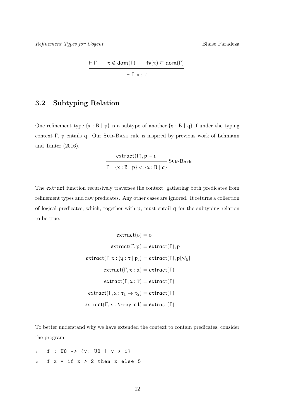Refinement Types for Cogent Blaise Paradeza

$$
\frac{\vdash \Gamma \qquad x \notin \text{dom}(\Gamma) \qquad \text{fv}(\tau) \subseteq \text{dom}(\Gamma)}{\vdash \Gamma, x : \tau}
$$

#### 3.2 Subtyping Relation

One refinement type  $\{x : B | p\}$  is a subtype of another  $\{x : B | q\}$  if under the typing context Γ, p entails q. Our SUB-BASE rule is inspired by previous work of Lehmann and Tanter (2016).

$$
\frac{\text{extract}(\Gamma), p \vDash q}{\Gamma \vdash \{x : B \mid p\} <: \{x : B \mid q\}} \text{SUB-Base}
$$

The extract function recursively traverses the context, gathering both predicates from refinement types and raw predicates. Any other cases are ignored. It returns a collection of logical predicates, which, together with p, must entail q for the subtyping relation to be true.

$$
extract(\emptyset) = \emptyset
$$
  
\n
$$
extract(\Gamma, p) = extract(\Gamma), p
$$
  
\n
$$
extract(\Gamma, x : \{y : \tau \mid p\}) = extract(\Gamma), p[x/y]
$$
  
\n
$$
extract(\Gamma, x : a) = extract(\Gamma)
$$
  
\n
$$
extract(\Gamma, x : \tau_1 \rightarrow \tau_2) = extract(\Gamma)
$$
  
\n
$$
extract(\Gamma, x : \text{Array } \tau \text{ I}) = extract(\Gamma)
$$

To better understand why we have extended the context to contain predicates, consider the program:

 $_1$  f : U8 -> {v : U8 | v > 1}  $2$  f x = if x > 2 then x else 5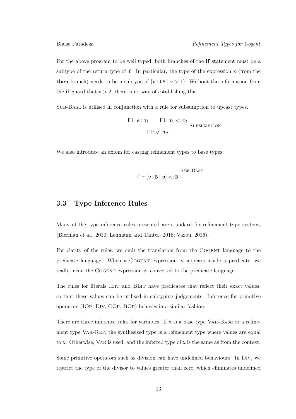For the above program to be well typed, both branches of the if statement must be a subtype of the return type of  $f$ . In particular, the type of the expression  $x$  (from the then branch) needs to be a subtype of  $\{v : \text{US} \mid v > 1\}$ . Without the information from the **if** guard that  $x > 2$ , there is no way of establishing this.

Sub-Base is utilised in conjunction with a rule for subsumption to upcast types.

$$
\frac{\Gamma \vdash e : \tau_1 \qquad \Gamma \vdash \tau_1 <: \tau_2}{\Gamma \vdash e : \tau_2}
$$
 SUBSUMPTION

We also introduce an axiom for casting refinement types to base types:

$$
\overline{\Gamma \vdash \{\nu : B \mid p\} <: B}
$$
REF-BASE

#### 3.3 Type Inference Rules

Many of the type inference rules presented are standard for refinement type systems (Bierman et al., 2010; Lehmann and Tanter, 2016; Vazou, 2016).

For clarity of the rules, we omit the translation from the COGENT language to the predicate language. When a COGENT expression  $e_i$  appears inside a predicate, we really mean the COGENT expression  $e_i$  converted to the predicate language.

The rules for literals ILit and BLit have predicates that reflect their exact values, so that these values can be utilised in subtyping judgements. Inference for primitive operators (IOp, Div, COp, BOp) behaves in a similar fashion.

There are three inference rules for variables. If  $x$  is a base type VAR-BASE or a refinement type VAR-REF, the synthesised type is a refinement type where values are equal to x. Otherwise, VAR is used, and the inferred type of  $x$  is the same as from the context.

Some primitive operators such as division can have undefined behaviours. In Div, we restrict the type of the divisor to values greater than zero, which eliminates undefined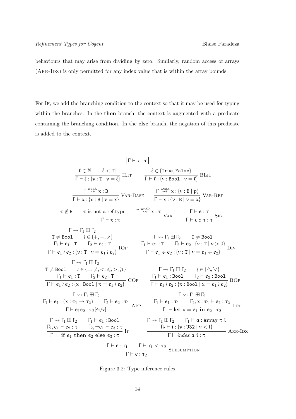behaviours that may arise from dividing by zero. Similarly, random access of arrays (ARR-IDX) is only permitted for any index value that is within the array bounds.

For IF, we add the branching condition to the context so that it may be used for typing within the branches. In the then branch, the context is augmented with a predicate containing the branching condition. In the else branch, the negation of this predicate is added to the context.

$$
\frac{\ell \in \mathbb{N} \quad \ell < |T|}{\Gamma + \ell : \{v : T \mid v = \ell\}} \text{ ILIT} \qquad \frac{\ell \in \{True, False\}}{\Gamma + \ell : \{v : Boolean \mid v = \ell\}} \text{ BLIT}
$$
\n
$$
\frac{\Gamma \stackrel{weak}{\leadsto} x : B}{\Gamma + x : \{v : B \mid v = x\}} \text{VAR-BASE} \qquad \frac{\Gamma \stackrel{weak}{\leadsto} x : \{v : B \mid p\}}{\Gamma + x : \{v : B \mid v = x\}} \text{VAR-BEF}
$$
\n
$$
\frac{\tau \notin B}{\Gamma + x : \{v : B \mid v = x\}} \text{VAR-BASE} \qquad \frac{\Gamma \stackrel{weak}{\leadsto} x : \tau}{\Gamma + x : \{v : B \mid v = x\}} \text{VAR-BEF}
$$
\n
$$
\frac{\tau \notin B}{\Gamma + x : \tau} \qquad \frac{\tau \mapsto \tau_1 \boxplus \Gamma_2}{\Gamma + x : \tau} \qquad \frac{\tau \mapsto \tau_1 \boxplus \Gamma_2}{\Gamma + e : \tau : \tau} \text{ SIG}
$$
\n
$$
\frac{\Gamma_1 + e_1 : T \quad \Gamma_2 + e_2 : T}{\Gamma + e_1 \ell e_2 : \{v : T \mid v = e_1 \ell e_2\}} \text{IOP} \qquad \frac{\Gamma_1 + e_1 : T \quad \Gamma_2 + e_2 : \{v : T \mid v > 0\}}{\Gamma + e_1 + e_2 : \{v : T \mid v = e_1 + e_2\}} \text{Div}
$$
\n
$$
\frac{\Gamma_1 + e_1 : T \quad \Gamma_2 + e_2 : T}{\Gamma + e_1 \ell e_2 : \{x : Boolean \mid x = e_1 \ell e_2\}} \text{COP} \qquad \frac{\Gamma_1 + e_1 : Boolean \quad \Gamma_2 + e_2 : Boolean \quad BOP}{\Gamma + e_1 \ell e_2 : \{x : Boolean \mid x = e_1 \ell e_2\}} \text{BOP}
$$
\n
$$
\frac{\Gamma \rightsquigarrow \Gamma_1 \boxplus \Gamma_2}{\Gamma + e_1 \ell e_2 : \{x : Boolean \mid x = e_1 \ell e_2\}} \text{COP} \qquad \frac{\Gamma_1 + e_1 : \tau_1 \quad \Gamma_2, x : \tau_1 \vdash e_2 : \tau_2
$$

Figure 3.2: Type inference rules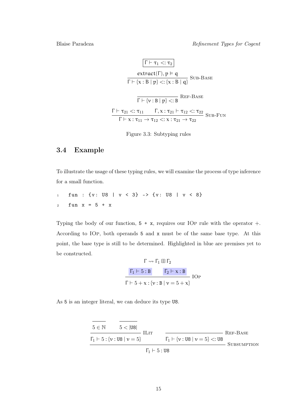Blaise Paradeza Refinement Types for Cogent

$$
\begin{array}{c}\n\boxed{\Gamma\vdash\tau_1<:\tau_2} \\
\text{extract}(\Gamma), p\vDash q \\
\boxed{\Gamma\vdash \{x:B\mid p\}<:\{x:B\mid q\}}\text{SUB-Base} \\
\boxed{\Gamma\vdash \{v:B\mid p\}<:\text{B}}\text{REF-Base} \\
\frac{\Gamma\vdash\tau_{21}<:\tau_{11}\qquad\Gamma,x:\tau_{21}\vdash\tau_{12}<:\tau_{22}}{\Gamma\vdash x:\tau_{11}\rightarrow\tau_{12}<:\,x:\tau_{21}\rightarrow\tau_{22}}\text{SUB-Fun}\n\end{array}
$$

Figure 3.3: Subtyping rules

#### 3.4 Example

To illustrate the usage of these typing rules, we will examine the process of type inference for a small function.

| 1 fun: {v: U8   v < 3} -> {v: U8   v < 8} |  |  |  |  |  |  |  |  |
|-------------------------------------------|--|--|--|--|--|--|--|--|
| 2 fun $x = 5 + x$                         |  |  |  |  |  |  |  |  |

Typing the body of our function, 5 + x, requires our IOp rule with the operator +. According to IOp, both operands 5 and x must be of the same base type. At this point, the base type is still to be determined. Highlighted in blue are premises yet to be constructed. Γ Γ<sub>ΠΓ</sub>

$$
\Gamma \rightsquigarrow \Gamma_1 \boxplus \Gamma_2
$$
  
\n
$$
\Gamma_1 \vdash 5 : B \qquad \Gamma_2 \vdash x : B
$$
  
\n
$$
\Gamma \vdash 5 + x : \{v : B \mid v = 5 + x\}
$$
  
\n
$$
\Gamma \vdash 5 + x : \{v : B \mid v = 5 + x\}
$$

As 5 is an integer literal, we can deduce its type U8.

| $5 <$ [U8]<br>$5 \in \mathbb{N}$                         |                                                                   |               |
|----------------------------------------------------------|-------------------------------------------------------------------|---------------|
|                                                          | Нлт                                                               | REF-BASE      |
| $\Gamma_1 \vdash 5 : \{ \nu : \text{UB} \mid \nu = 5 \}$ | $\Gamma_1 \vdash \{ \nu : \text{UB} \mid \nu = 5 \} <: \text{UB}$ |               |
|                                                          |                                                                   | - Subsumption |
|                                                          | $\Gamma_1 \vdash 5 : \mathtt{U8}$                                 |               |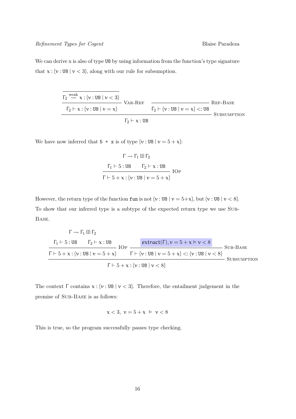We can derive x is also of type U8 by using information from the function's type signature that  $x : \{v : \text{US} \mid v < 3\}$ , along with our rule for subsumption.

> $\Gamma_2 \stackrel{\text{weak}}{\rightsquigarrow} \chi : \{ \nu : \mathtt{U8} \mid \nu < 3 \}$  $\Gamma_2 \vdash x : \{v : \text{UB} \mid v = x\}$ Var-Ref  $\Gamma_2 \vdash \{v : \texttt{U8} \mid v = x\} <: \texttt{U8}$ Ref-Base  $\Gamma_2 \vdash x : U8$ **SUBSUMPTION**

We have now inferred that  $5 + x$  is of type  $\{v : \text{UB} \mid v = 5 + x\}$ :

$$
\Gamma \rightsquigarrow \Gamma_1 \boxplus \Gamma_2
$$
  
\n
$$
\Gamma_1 \vdash 5: \text{US} \qquad \Gamma_2 \vdash x: \text{US}
$$
  
\n
$$
\Gamma \vdash 5 + x: \{v: \text{US} \mid v = 5 + x\}
$$
  
\n
$$
\text{IOP}
$$

However, the return type of the function fun is not  $\{v : \text{US} \mid v = 5 + x\}$ , but  $\{v : \text{US} \mid v < 8\}$ . To show that our inferred type is a subtype of the expected return type we use Sub-Base.

$$
\frac{\Gamma \rightarrow \Gamma_1 \boxplus \Gamma_2}{\Gamma \vdash 5 : \text{US} \quad \Gamma_2 \vdash \chi : \text{US}} \cdot \frac{\text{extract}(\Gamma), \nu = 5 + \chi \models \nu < 8}{\Gamma \vdash 5 + \chi : \{ \nu : \text{US} \mid \nu = 5 + \chi \}} \cdot \frac{\text{extract}(\Gamma), \nu = 5 + \chi \models \nu < 8}{\Gamma \vdash \{ \nu : \text{US} \mid \nu = 5 + \chi \} <: \{ \nu : \text{US} \mid \nu < 8 \}} \cdot \frac{\text{SUB-Base}}{\text{SUB-UNPTON}}
$$

The context  $\Gamma$  contains  $x : \{v : \text{US } | v < 3\}$ . Therefore, the entailment judgement in the premise of Sub-Base is as follows:

$$
x < 3, \ v = 5 + x \ \vDash \ v < 8
$$

This is true, so the program successfully passes type checking.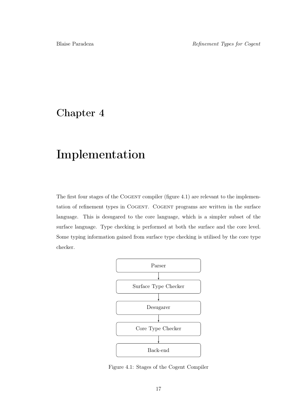Chapter 4

# Implementation

The first four stages of the COGENT compiler (figure 4.1) are relevant to the implementation of refinement types in COGENT. COGENT programs are written in the surface language. This is desugared to the core language, which is a simpler subset of the surface language. Type checking is performed at both the surface and the core level. Some typing information gained from surface type checking is utilised by the core type checker.



Figure 4.1: Stages of the Cogent Compiler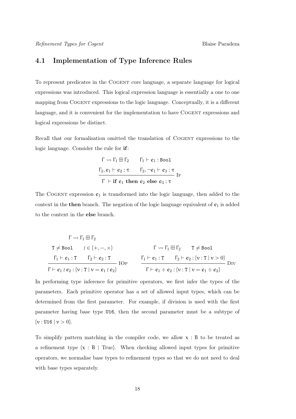#### 4.1 Implementation of Type Inference Rules

To represent predicates in the Cogent core language, a separate language for logical expressions was introduced. This logical expression language is essentially a one to one mapping from Cogent expressions to the logic language. Conceptually, it is a different language, and it is convenient for the implementation to have COGENT expressions and logical expressions be distinct.

Recall that our formalisation omitted the translation of Cogent expressions to the logic language. Consider the rule for if:

$$
\Gamma \rightsquigarrow \Gamma_1 \boxplus \Gamma_2 \qquad \Gamma_1 \vdash e_1 : \text{Bool}
$$
  

$$
\frac{\Gamma_2, e_1 \vdash e_2 : \tau \qquad \Gamma_2, \neg e_1 \vdash e_3 : \tau}{\Gamma \vdash \text{if } e_1 \text{ then } e_2 \text{ else } e_3 : \tau} \text{ If}
$$

The COGENT expression  $e_1$  is transformed into the logic language, then added to the context in the **then** branch. The negation of the logic language equivalent of  $e_1$  is added to the context in the else branch.

$$
\Gamma \rightsquigarrow \Gamma_1 \boxplus \Gamma_2
$$
\n
$$
T \neq \text{Bool} \quad \{ \in \{+, -, \times\}
$$
\n
$$
\Gamma \rightsquigarrow \Gamma_1 \boxplus \Gamma_2 \quad T \neq \text{Bool}
$$
\n
$$
\Gamma_1 \vdash e_1 : T \quad \Gamma_2 \vdash e_2 : T
$$
\n
$$
\Gamma \vdash e_1 \wr e_2 : \{v : T \mid v = e_1 \wr e_2\}
$$
\n
$$
\Gamma \vdash e_1 \div e_2 : \{v : T \mid v = e_1 \div e_2\}
$$
\n
$$
\Gamma \vdash e_1 \div e_2 : \{v : T \mid v = e_1 \div e_2\}
$$
\n
$$
\Gamma \vdash e_1 \div e_2 : \{v : T \mid v = e_1 \div e_2\}
$$

In performing type inference for primitive operators, we first infer the types of the parameters. Each primitive operator has a set of allowed input types, which can be determined from the first parameter. For example, if division is used with the first parameter having base type U16, then the second parameter must be a subtype of  $\{v : U16 \mid v > 0\}.$ 

To simplify pattern matching in the compiler code, we allow  $x : B$  to be treated as a refinement type  $\{x : B | True\}$ . When checking allowed input types for primitive operators, we normalise base types to refinement types so that we do not need to deal with base types separately.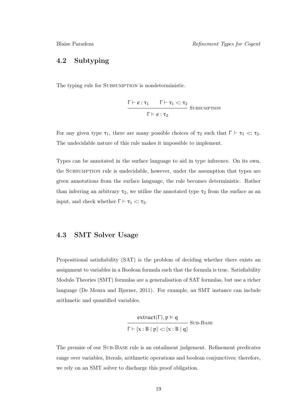#### 4.2 Subtyping

The typing rule for SUBSUMPTION is nondeterministic.

$$
\frac{\Gamma \vdash e : \tau_1 \qquad \Gamma \vdash \tau_1 <: \tau_2}{\Gamma \vdash e : \tau_2}
$$
 SUBSUMPTION

For any given type  $\tau_1$ , there are many possible choices of  $\tau_2$  such that  $\Gamma \vdash \tau_1 < \tau_2$ . The undecidable nature of this rule makes it impossible to implement.

Types can be annotated in the surface language to aid in type inference. On its own, the Subsumption rule is undecidable, however, under the assumption that types are given annotations from the surface language, the rule becomes deterministic. Rather than inferring an arbitrary  $\tau_2$ , we utilise the annotated type  $\tau_2$  from the surface as an input, and check whether  $\Gamma \vdash \tau_1 <: \tau_2$ .

#### 4.3 SMT Solver Usage

Propositional satisfiability (SAT) is the problem of deciding whether there exists an assignment to variables in a Boolean formula such that the formula is true. Satisfiability Modulo Theories (SMT) formulas are a generalisation of SAT formulas, but use a richer language (De Moura and Bjørner, 2011). For example, an SMT instance can include arithmetic and quantified variables.

$$
\frac{\text{extract}(\Gamma), p \vDash q}{\Gamma \vdash \{x : B \mid p\} <: \{x : B \mid q\}} \text{SUB-Base}
$$

The premise of our Sub-Base rule is an entailment judgement. Refinement predicates range over variables, literals, arithmetic operations and boolean conjunctives; therefore, we rely on an SMT solver to discharge this proof obligation.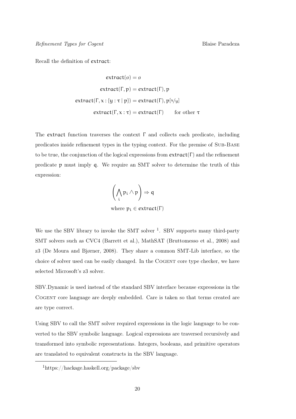Recall the definition of extract:

$$
extract(\emptyset) = \emptyset
$$
  
extract $(\Gamma, p) = extract(\Gamma), p$   
extract $(\Gamma, x : \{y : \tau | p\}) = extract(\Gamma), p[x/y]$   
extract $(\Gamma, x : \tau) = extract(\Gamma)$  for other  $\tau$ 

The extract function traverses the context Γ and collects each predicate, including predicates inside refinement types in the typing context. For the premise of Sub-Base to be true, the conjunction of the logical expressions from  $\text{extract}(\Gamma)$  and the refinement predicate p must imply q. We require an SMT solver to determine the truth of this expression:

$$
\left(\bigwedge_i \mathfrak{p}_i \wedge \mathfrak{p}\right) \Rightarrow \mathfrak{q}
$$

where  $p_i \in$  extract( $\Gamma$ )

We use the SBV library to invoke the SMT solver  $<sup>1</sup>$ . SBV supports many third-party</sup> SMT solvers such as CVC4 (Barrett et al.), MathSAT (Bruttomesso et al., 2008) and z3 (De Moura and Bjørner, 2008). They share a common SMT-Lib interface, so the choice of solver used can be easily changed. In the COGENT core type checker, we have selected Microsoft's z3 solver.

SBV.Dynamic is used instead of the standard SBV interface because expressions in the COGENT core language are deeply embedded. Care is taken so that terms created are are type correct.

Using SBV to call the SMT solver required expressions in the logic language to be converted to the SBV symbolic language. Logical expressions are traversed recursively and transformed into symbolic representations. Integers, booleans, and primitive operators are translated to equivalent constructs in the SBV language.

<sup>1</sup>https://hackage.haskell.org/package/sbv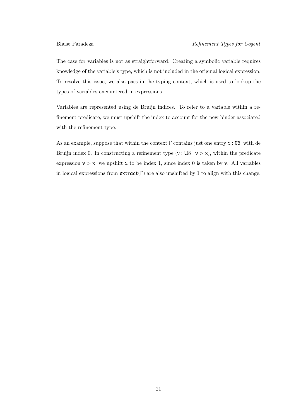The case for variables is not as straightforward. Creating a symbolic variable requires knowledge of the variable's type, which is not included in the original logical expression. To resolve this issue, we also pass in the typing context, which is used to lookup the types of variables encountered in expressions.

Variables are represented using de Bruijn indices. To refer to a variable within a refinement predicate, we must upshift the index to account for the new binder associated with the refinement type.

As an example, suppose that within the context  $\Gamma$  contains just one entry  $x : U8$ , with de Bruijn index 0. In constructing a refinement type  $\{v : \mathsf{U}8 \mid v > x\}$ , within the predicate expression  $v > x$ , we upshift x to be index 1, since index 0 is taken by v. All variables in logical expressions from  $extract(\Gamma)$  are also upshifted by 1 to align with this change.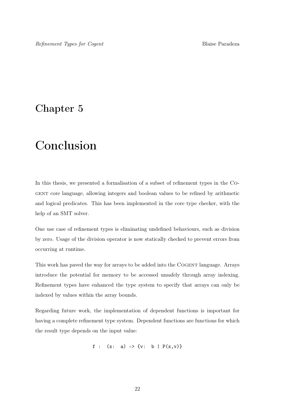### Chapter 5

# Conclusion

In this thesis, we presented a formalisation of a subset of refinement types in the Cogent core language, allowing integers and boolean values to be refined by arithmetic and logical predicates. This has been implemented in the core type checker, with the help of an SMT solver.

One use case of refinement types is eliminating undefined behaviours, such as division by zero. Usage of the division operator is now statically checked to prevent errors from occurring at runtime.

This work has paved the way for arrays to be added into the Cogent language. Arrays introduce the potential for memory to be accessed unsafely through array indexing. Refinement types have enhanced the type system to specify that arrays can only be indexed by values within the array bounds.

Regarding future work, the implementation of dependent functions is important for having a complete refinement type system. Dependent functions are functions for which the result type depends on the input value:

f :  $(x: a)$  -> {v: b |  $P(x,y)$ }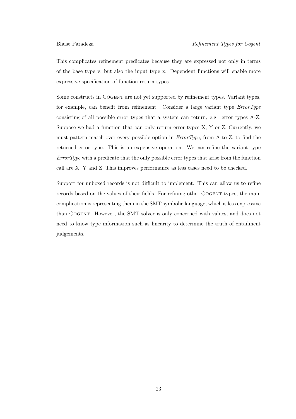This complicates refinement predicates because they are expressed not only in terms of the base type v, but also the input type x. Dependent functions will enable more expressive specification of function return types.

Some constructs in COGENT are not yet supported by refinement types. Variant types, for example, can benefit from refinement. Consider a large variant type ErrorType consisting of all possible error types that a system can return, e.g. error types A-Z. Suppose we had a function that can only return error types X, Y or Z. Currently, we must pattern match over every possible option in ErrorType, from A to Z, to find the returned error type. This is an expensive operation. We can refine the variant type ErrorType with a predicate that the only possible error types that arise from the function call are X, Y and Z. This improves performance as less cases need to be checked.

Support for unboxed records is not difficult to implement. This can allow us to refine records based on the values of their fields. For refining other COGENT types, the main complication is representing them in the SMT symbolic language, which is less expressive than Cogent. However, the SMT solver is only concerned with values, and does not need to know type information such as linearity to determine the truth of entailment judgements.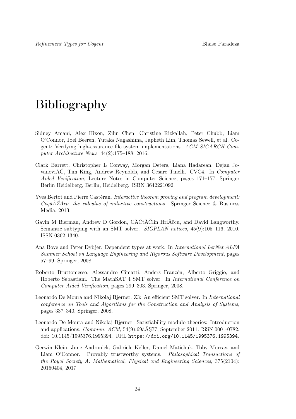# Bibliography

- Sidney Amani, Alex Hixon, Zilin Chen, Christine Rizkallah, Peter Chubb, Liam O'Connor, Joel Beeren, Yutaka Nagashima, Japheth Lim, Thomas Sewell, et al. Cogent: Verifying high-assurance file system implementations. ACM SIGARCH Computer Architecture News, 44(2):175–188, 2016.
- Clark Barrett, Christopher L Conway, Morgan Deters, Liana Hadarean, Dejan JovanoviÄĞ, Tim King, Andrew Reynolds, and Cesare Tinelli. CVC4. In Computer Aided Verification, Lecture Notes in Computer Science, pages 171–177. Springer Berlin Heidelberg, Berlin, Heidelberg. ISBN 3642221092.
- Yves Bertot and Pierre Castéran. Interactive theorem proving and program development:  $Coq\hat{A}ZArt:$  the calculus of inductive constructions. Springer Science & Business Media, 2013.
- Gavin M Bierman, Andrew D Gordon, CÄČtÄČlin HriÅčcu, and David Langworthy. Semantic subtyping with an SMT solver. SIGPLAN notices, 45(9):105–116, 2010. ISSN 0362-1340.
- Ana Bove and Peter Dybjer. Dependent types at work. In International LerNet ALFA Summer School on Language Engineering and Rigorous Software Development, pages 57–99. Springer, 2008.
- Roberto Bruttomesso, Alessandro Cimatti, Anders Franzén, Alberto Griggio, and Roberto Sebastiani. The MathSAT 4 SMT solver. In International Conference on Computer Aided Verification, pages 299–303. Springer, 2008.
- Leonardo De Moura and Nikolaj Bjørner. Z3: An efficient SMT solver. In International conference on Tools and Algorithms for the Construction and Analysis of Systems, pages 337–340. Springer, 2008.
- Leonardo De Moura and Nikolaj Bjørner. Satisfiability modulo theories: Introduction and applications. Commun. ACM, 54(9):69âĂŞ77, September 2011. ISSN 0001-0782. doi: 10.1145/1995376.1995394. URL https://doi.org/10.1145/1995376.1995394.
- Gerwin Klein, June Andronick, Gabriele Keller, Daniel Matichuk, Toby Murray, and Liam O'Connor. Provably trustworthy systems. Philosophical Transactions of the Royal Society A: Mathematical, Physical and Engineering Sciences, 375(2104): 20150404, 2017.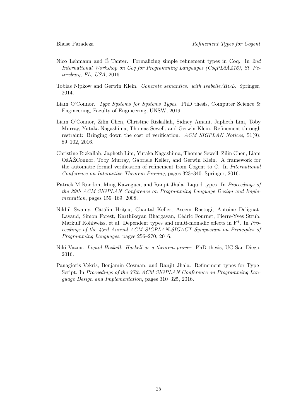- Nico Lehmann and É Tanter. Formalizing simple refinement types in Coq. In 2nd International Workshop on Coq for Programming Languages (CoqPLâĂŹ16), St. Petersburg, FL, USA, 2016.
- Tobias Nipkow and Gerwin Klein. Concrete semantics: with Isabelle/HOL. Springer, 2014.
- Liam O'Connor. Type Systems for Systems Types. PhD thesis, Computer Science & Engineering, Faculty of Engineering, UNSW, 2019.
- Liam O'Connor, Zilin Chen, Christine Rizkallah, Sidney Amani, Japheth Lim, Toby Murray, Yutaka Nagashima, Thomas Sewell, and Gerwin Klein. Refinement through restraint: Bringing down the cost of verification. ACM SIGPLAN Notices, 51(9): 89–102, 2016.
- Christine Rizkallah, Japheth Lim, Yutaka Nagashima, Thomas Sewell, Zilin Chen, Liam OâĂŹConnor, Toby Murray, Gabriele Keller, and Gerwin Klein. A framework for the automatic formal verification of refinement from Cogent to C. In International Conference on Interactive Theorem Proving, pages 323–340. Springer, 2016.
- Patrick M Rondon, Ming Kawaguci, and Ranjit Jhala. Liquid types. In *Proceedings of* the 29th ACM SIGPLAN Conference on Programming Language Design and Implementation, pages 159–169, 2008.
- Nikhil Swamy, Cătălin Hriţcu, Chantal Keller, Aseem Rastogi, Antoine Delignat-Lavaud, Simon Forest, Karthikeyan Bhargavan, Cédric Fournet, Pierre-Yves Strub, Markulf Kohlweiss, et al. Dependent types and multi-monadic effects in F\*. In Proceedings of the 43rd Annual ACM SIGPLAN-SIGACT Symposium on Principles of Programming Languages, pages 256–270, 2016.
- Niki Vazou. Liquid Haskell: Haskell as a theorem prover. PhD thesis, UC San Diego, 2016.
- Panagiotis Vekris, Benjamin Cosman, and Ranjit Jhala. Refinement types for Type-Script. In Proceedings of the 37th ACM SIGPLAN Conference on Programming Language Design and Implementation, pages 310–325, 2016.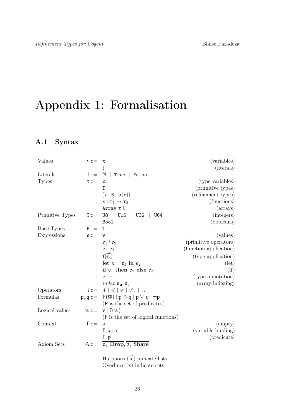# Appendix 1: Formalisation

### A.1 Syntax

| <b>Values</b>   | $v ::=$      | $\boldsymbol{\chi}$                                                                             | (variables)            |
|-----------------|--------------|-------------------------------------------------------------------------------------------------|------------------------|
|                 |              | $\ell$                                                                                          | (literals)             |
| Literals        | $\ell ::=$   | $\mathbb N$<br>True   False                                                                     |                        |
| <b>Types</b>    | $\tau ::=$   | a                                                                                               | (type variables)       |
|                 |              | T                                                                                               | (primitive types)      |
|                 |              | $\{x : B   p(x)\}\$                                                                             | (refinement types)     |
|                 |              | $x: \tau_1 \rightarrow \tau_2$                                                                  | (functions)            |
|                 |              | Array $\tau$ l                                                                                  | $\rm (arrays)$         |
| Primitive Types | $T ::=$      | U8   U16<br>$\vert$ U32<br>U64                                                                  | (integers)             |
|                 |              | <b>Bool</b>                                                                                     | (booleans)             |
| Base Types      | $B ::=$      | т                                                                                               |                        |
| Expressions     | $e ::=$      | ν                                                                                               | (values)               |
|                 |              | $e_1 \wr e_2$                                                                                   | (primitive operators)  |
|                 |              | $e_1$ $e_2$                                                                                     | (function application) |
|                 |              | $f[\overrightarrow{\tau_i}]$                                                                    | (type application)     |
|                 |              | let $x = e_1$ in $e_2$                                                                          | $(\text{let})$         |
|                 |              | if $e_1$ then $e_2$ else $e_3$                                                                  | (if)                   |
|                 |              | $e$ : $\tau$                                                                                    | (type annotation)      |
|                 |              | index $e_a$ $e_i$                                                                               | (array indexing)       |
| Operators       |              | $\iota ::= + \leqslant   \neq   \wedge   $                                                      |                        |
| Formulas        |              | $p, q ::= P(\overline{w})   p \wedge q   p \vee q   \neg p$                                     |                        |
|                 |              | (P is the set of predicates)                                                                    |                        |
| Logical values  |              | $w ::= v   F(\overline{w})$                                                                     |                        |
|                 |              | (F is the set of logical functions)                                                             |                        |
| Context         | $\Gamma ::=$ | Ø                                                                                               | (empty)                |
|                 |              | $\Gamma, \mathsf{x} : \tau$                                                                     | (variable binding)     |
|                 |              |                                                                                                 | (predicate)            |
| Axiom Sets      |              | $\begin{array}{rcl} &   & \Gamma, p \\ A ::= & \overline{a_i \; Drop, b_j \;Share} \end{array}$ |                        |
|                 |              | Harpoons $(\overline{x})$ indicate lists.                                                       |                        |
|                 |              | Overlines $(\overline{x})$ indicate sets.                                                       |                        |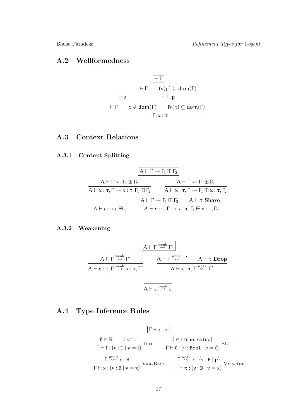Blaise Paradeza Refinement Types for Cogent

### A.2 Wellformedness

$$
\cfrac{\dfrac{\dfrac{\dfrac{\dfrac{\dfrac{\dfrac{\dfrac{\vdash \Gamma}{\cdots}}{\dfrac{\dfrac{\vdash \Gamma}{\cdots}}{\dfrac{\dfrac{\vdash \Gamma}{\cdots}}{\vdash \Gamma, p}}}}{\dfrac{\vdash \Gamma \qquad x \notin \text{dom}(\Gamma) \qquad \text{fv}(\tau) \subseteq \text{dom}(\Gamma)}}{\dfrac{\vdash \Gamma, x : \tau}}}{\dfrac{\vdash \Gamma, x : \tau}{\vdash \Gamma, x : \tau}}
$$

### A.3 Context Relations

#### A.3.1 Context Splitting

$$
\frac{\boxed{A \vdash \Gamma \leadsto \Gamma_1 \boxplus \Gamma_2}}{A \vdash \chi : \tau, \Gamma \leadsto \chi : \tau, \Gamma_1 \boxplus \Gamma_2} \qquad \qquad A \vdash \Gamma \leadsto \Gamma_1 \boxplus \Gamma_2}
$$
\n
$$
\frac{A \vdash \Gamma \leadsto \Gamma_1 \boxplus \Gamma_2}{A \vdash \chi : \tau, \Gamma \leadsto \chi : \tau, \Gamma \leadsto \Gamma_1 \boxplus \chi : \tau, \Gamma_2}
$$
\n
$$
\frac{A \vdash \Gamma \leadsto \Gamma_1 \boxplus \Gamma_2 \qquad A \vdash \tau \text{ share}}{A \vdash \chi : \tau, \Gamma \leadsto \chi : \tau, \Gamma_1 \boxplus \chi : \tau, \Gamma_2}
$$

#### A.3.2 Weakening

$$
\frac{\mathsf{A}\vdash\Gamma\overset{\mathrm{weak}}{\leadsto}\Gamma'}{\mathsf{A}\vdash\chi:\tau,\Gamma\overset{\mathrm{weak}}{\leadsto}\chi:\tau,\Gamma'}\qquad\frac{\mathsf{A}\vdash\Gamma\overset{\mathrm{weak}}{\leadsto}\Gamma'\qquad\mathsf{A}\vdash\tau\ \mathbf{Drop}}{\mathsf{A}\vdash\chi:\tau,\Gamma\overset{\mathrm{weak}}{\leadsto}\Gamma'}
$$

### A.4 Type Inference Rules

$$
\frac{\ell \in \mathbb{N} \qquad \ell < |T|}{\Gamma \vdash \ell : \{ \nu : T \mid \nu = \ell \}} \text{ ILIT} \qquad \frac{\ell \in \{ \text{True}, \text{False} \}}{\Gamma \vdash \ell : \{ \nu : \text{Bool} \mid \nu = \ell \}} \text{ BLIT}
$$
\n
$$
\frac{\Gamma \stackrel{\text{weak}}{\sim} x : B}{\Gamma \vdash x : \{ \nu : B \mid \nu = x \}} \text{ VAR-BASE} \qquad \frac{\Gamma \stackrel{\text{weak}}{\sim} x : \{ \nu : B \mid p \}}{\Gamma \vdash x : \{ \nu : B \mid \nu = x \}} \text{VAR-BEF}
$$